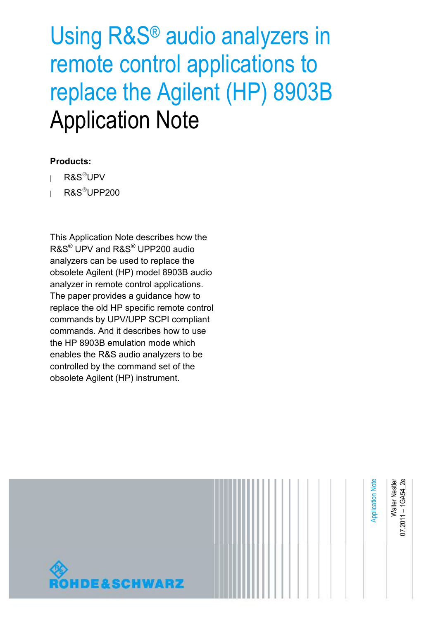# Using R&S® audio analyzers in remote control applications to replace the Agilent (HP) 8903B Application Note

### **Products:**

- $R\&S^®UPV$
- **<sup>|</sup>** R&SUPP200

This Application Note describes how the R&S® UPV and R&S® UPP200 audio analyzers can be used to replace the obsolete Agilent (HP) model 8903B audio analyzer in remote control applications. The paper provides a guidance how to replace the old HP specific remote control commands by UPV/UPP SCPI compliant commands. And it describes how to use the HP 8903B emulation mode which enables the R&S audio analyzers to be controlled by the command set of the obsolete Agilent (HP) instrument.

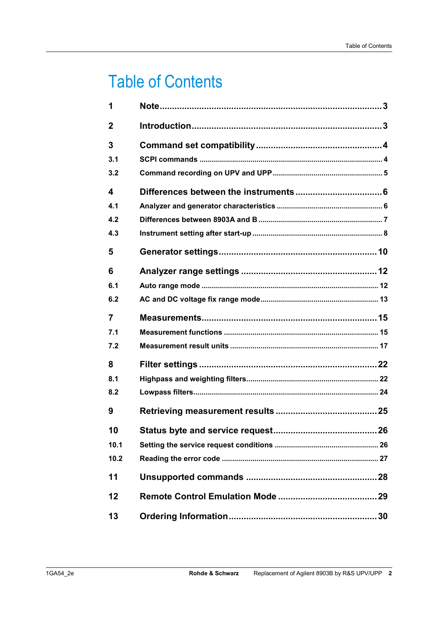## Table of Contents

| 1                       |  |
|-------------------------|--|
| $\mathbf 2$             |  |
| 3                       |  |
| 3.1                     |  |
| 3.2                     |  |
| $\overline{\mathbf{4}}$ |  |
| 4.1                     |  |
| 4.2                     |  |
| 4.3                     |  |
| 5                       |  |
| 6                       |  |
| 6.1                     |  |
| 6.2                     |  |
| $\overline{7}$          |  |
| 7.1                     |  |
| 7.2                     |  |
| 8                       |  |
| 8.1                     |  |
| 8.2                     |  |
| 9                       |  |
| 10                      |  |
| 10.1                    |  |
| 10.2                    |  |
| 11                      |  |
| 12                      |  |
| 13                      |  |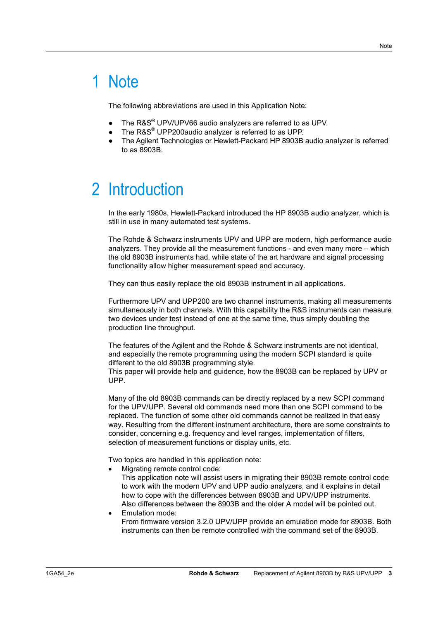## 1 Note

The following abbreviations are used in this Application Note:

- The R&S<sup>®</sup> UPV/UPV66 audio analyzers are referred to as UPV.
- The R&S<sup>®</sup> UPP200audio analyzer is referred to as UPP.
- 5 The Agilent Technologies or Hewlett-Packard HP 8903B audio analyzer is referred to as 8903B.

## 2 Introduction

In the early 1980s, Hewlett-Packard introduced the HP 8903B audio analyzer, which is still in use in many automated test systems.

The Rohde & Schwarz instruments UPV and UPP are modern, high performance audio analyzers. They provide all the measurement functions - and even many more – which the old 8903B instruments had, while state of the art hardware and signal processing functionality allow higher measurement speed and accuracy.

They can thus easily replace the old 8903B instrument in all applications.

Furthermore UPV and UPP200 are two channel instruments, making all measurements simultaneously in both channels. With this capability the R&S instruments can measure two devices under test instead of one at the same time, thus simply doubling the production line throughput.

The features of the Agilent and the Rohde & Schwarz instruments are not identical, and especially the remote programming using the modern SCPI standard is quite different to the old 8903B programming style.

This paper will provide help and guidence, how the 8903B can be replaced by UPV or UPP.

Many of the old 8903B commands can be directly replaced by a new SCPI command for the UPV/UPP. Several old commands need more than one SCPI command to be replaced. The function of some other old commands cannot be realized in that easy way. Resulting from the different instrument architecture, there are some constraints to consider, concerning e.g. frequency and level ranges, implementation of filters, selection of measurement functions or display units, etc.

Two topics are handled in this application note:

• Migrating remote control code:

This application note will assist users in migrating their 8903B remote control code to work with the modern UPV and UPP audio analyzers, and it explains in detail how to cope with the differences between 8903B and UPV/UPP instruments. Also differences between the 8903B and the older A model will be pointed out.

• Emulation mode: From firmware version 3.2.0 UPV/UPP provide an emulation mode for 8903B. Both instruments can then be remote controlled with the command set of the 8903B.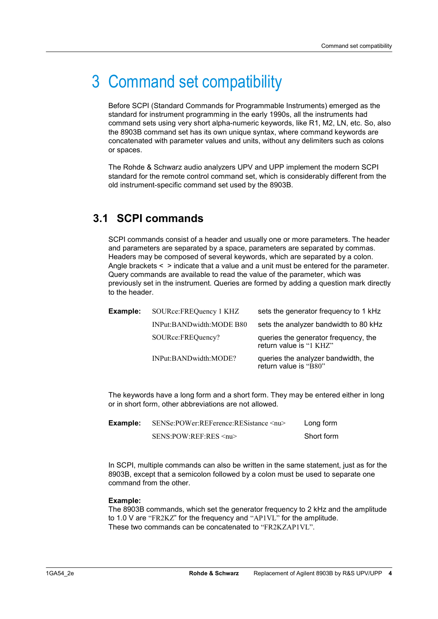## 3 Command set compatibility

Before SCPI (Standard Commands for Programmable Instruments) emerged as the standard for instrument programming in the early 1990s, all the instruments had command sets using very short alpha-numeric keywords, like R1, M2, LN, etc. So, also the 8903B command set has its own unique syntax, where command keywords are concatenated with parameter values and units, without any delimiters such as colons or spaces.

The Rohde & Schwarz audio analyzers UPV and UPP implement the modern SCPI standard for the remote control command set, which is considerably different from the old instrument-specific command set used by the 8903B.

### **3.1 SCPI commands**

SCPI commands consist of a header and usually one or more parameters. The header and parameters are separated by a space, parameters are separated by commas. Headers may be composed of several keywords, which are separated by a colon. Angle brackets < > indicate that a value and a unit must be entered for the parameter. Query commands are available to read the value of the parameter, which was previously set in the instrument. Queries are formed by adding a question mark directly to the header.

| Example: | SOURce:FREQuency 1 KHZ   | sets the generator frequency to 1 kHz                           |
|----------|--------------------------|-----------------------------------------------------------------|
|          | INPut:BANDwidth:MODE B80 | sets the analyzer bandwidth to 80 kHz                           |
|          | SOURce:FREQuency?        | queries the generator frequency, the<br>return value is "1 KHZ" |
|          | INPut:BANDwidth:MODE?    | queries the analyzer bandwidth, the<br>return value is "B80"    |

The keywords have a long form and a short form. They may be entered either in long or in short form, other abbreviations are not allowed.

| Example: | SENSe:POWer:REFerence:RESistance <nu></nu> | Long form  |
|----------|--------------------------------------------|------------|
|          | SENS:POW:REF:RES <nu></nu>                 | Short form |

In SCPI, multiple commands can also be written in the same statement, just as for the 8903B, except that a semicolon followed by a colon must be used to separate one command from the other.

#### **Example:**

The 8903B commands, which set the generator frequency to 2 kHz and the amplitude to 1.0 V are "FR2KZ" for the frequency and "AP1VL" for the amplitude. These two commands can be concatenated to "FR2KZAP1VL".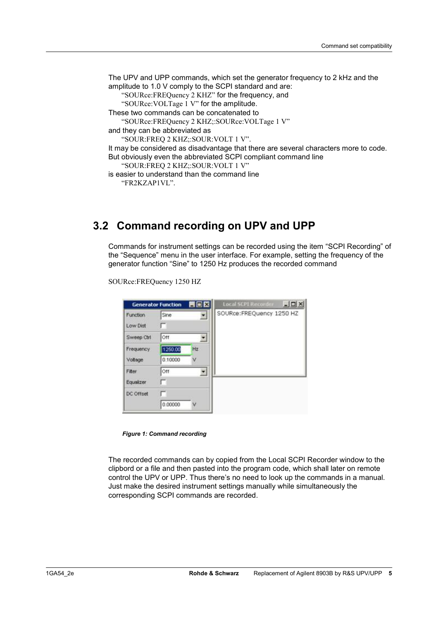```
The UPV and UPP commands, which set the generator frequency to 2 kHz and the 
amplitude to 1.0 V comply to the SCPI standard and are: 
   "SOURce:FREQuency 2 KHZ" for the frequency, and 
   "SOURce:VOLTage 1 V" for the amplitude. 
These two commands can be concatenated to 
   "SOURce:FREQuency 2 KHZ;:SOURce:VOLTage 1 V" 
and they can be abbreviated as 
   "SOUR:FREQ 2 KHZ;:SOUR:VOLT 1 V".
It may be considered as disadvantage that there are several characters more to code. 
But obviously even the abbreviated SCPI compliant command line 
   "SOUR:FREQ 2 KHZ;:SOUR:VOLT 1 V" 
is easier to understand than the command line 
   "FR2KZAP1VL".
```
### **3.2 Command recording on UPV and UPP**

Commands for instrument settings can be recorded using the item "SCPI Recording" of the "Sequence" menu in the user interface. For example, setting the frequency of the generator function "Sine" to 1250 Hz produces the recorded command

```
Local SCPI Record
                          HOX
                                                                   \ln xGenerator Function
                                      SOURce:FREQuency 1250 HZ
Function
              Sine
                               ×
              E
Low Dist
              lott
Sweep Ctrl
                                \overline{\phantom{a}}Frequency
              1250.00
                            HZ0.10000
Votage
                            Ñ
Fiter
              lott
                                \blacksquareEqualizer
              г
DC Offset
              г
              0.00000
```
SOURce:FREQuency 1250 HZ

*Figure 1: Command recording* 

The recorded commands can by copied from the Local SCPI Recorder window to the clipbord or a file and then pasted into the program code, which shall later on remote control the UPV or UPP. Thus there's no need to look up the commands in a manual. Just make the desired instrument settings manually while simultaneously the corresponding SCPI commands are recorded.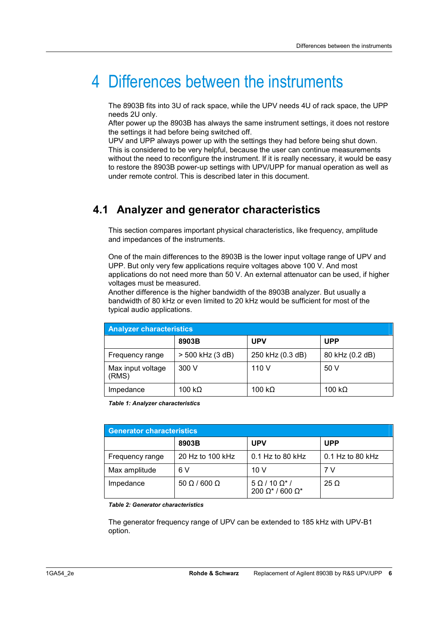## 4 Differences between the instruments

The 8903B fits into 3U of rack space, while the UPV needs 4U of rack space, the UPP needs 2U only.

After power up the 8903B has always the same instrument settings, it does not restore the settings it had before being switched off.

UPV and UPP always power up with the settings they had before being shut down. This is considered to be very helpful, because the user can continue measurements without the need to reconfigure the instrument. If it is really necessary, it would be easy to restore the 8903B power-up settings with UPV/UPP for manual operation as well as under remote control. This is described later in this document.

### **4.1 Analyzer and generator characteristics**

This section compares important physical characteristics, like frequency, amplitude and impedances of the instruments.

One of the main differences to the 8903B is the lower input voltage range of UPV and UPP. But only very few applications require voltages above 100 V. And most applications do not need more than 50 V. An external attenuator can be used, if higher voltages must be measured.

Another difference is the higher bandwidth of the 8903B analyzer. But usually a bandwidth of 80 kHz or even limited to 20 kHz would be sufficient for most of the typical audio applications.

| <b>Analyzer characteristics</b> |                  |                  |                 |
|---------------------------------|------------------|------------------|-----------------|
|                                 | 8903B            | <b>UPV</b>       | <b>UPP</b>      |
| Frequency range                 | > 500 kHz (3 dB) | 250 kHz (0.3 dB) | 80 kHz (0.2 dB) |
| Max input voltage<br>(RMS)      | 300 V            | 110 V            | 50 V            |
| Impedance                       | 100 kΩ           | 100 k $\Omega$   | 100 k $\Omega$  |

*Table 1: Analyzer characteristics* 

| Generator characteristics |                          |                                             |                    |
|---------------------------|--------------------------|---------------------------------------------|--------------------|
|                           | 8903B                    | <b>UPV</b>                                  | <b>UPP</b>         |
| Frequency range           | 20 Hz to 100 kHz         | 0.1 Hz to 80 kHz                            | $0.1$ Hz to 80 kHz |
| Max amplitude             | 6 V                      | 10 V                                        | 7 V                |
| Impedance                 | $50 \Omega / 600 \Omega$ | $5 \Omega / 10 \Omega^*$<br>200 Ω* / 600 Ω* | $25 \Omega$        |

*Table 2: Generator characteristics* 

The generator frequency range of UPV can be extended to 185 kHz with UPV-B1 option.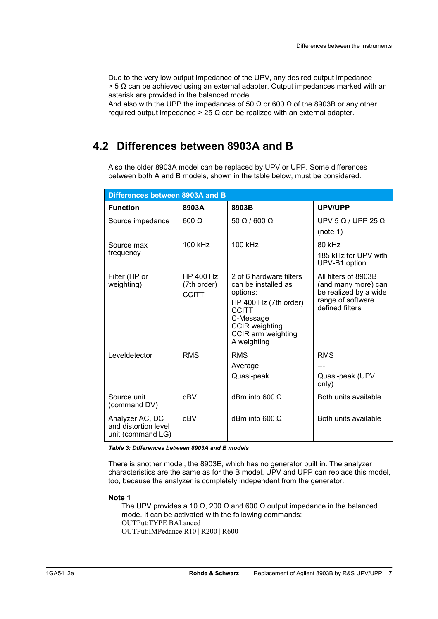Due to the very low output impedance of the UPV, any desired output impedance  $>$  5  $\Omega$  can be achieved using an external adapter. Output impedances marked with an asterisk are provided in the balanced mode.

And also with the UPP the impedances of 50  $\Omega$  or 600  $\Omega$  of the 8903B or any other required output impedance  $> 25 \Omega$  can be realized with an external adapter.

### **4.2 Differences between 8903A and B**

Also the older 8903A model can be replaced by UPV or UPP. Some differences between both A and B models, shown in the table below, must be considered.

| Differences between 8903A and B                              |                                                 |                                                                                                                                                                                |                                                                                                              |
|--------------------------------------------------------------|-------------------------------------------------|--------------------------------------------------------------------------------------------------------------------------------------------------------------------------------|--------------------------------------------------------------------------------------------------------------|
| <b>Function</b>                                              | 8903A                                           | 8903B                                                                                                                                                                          | UPV/UPP                                                                                                      |
| Source impedance                                             | $600 \Omega$                                    | $50 \Omega / 600 \Omega$                                                                                                                                                       | UPV 5 $\Omega$ / UPP 25 $\Omega$<br>(note 1)                                                                 |
| Source max<br>frequency                                      | 100 kHz                                         | 100 kHz                                                                                                                                                                        | 80 kHz<br>185 kHz for UPV with<br>UPV-B1 option                                                              |
| Filter (HP or<br>weighting)                                  | <b>HP 400 Hz</b><br>(7th order)<br><b>CCITT</b> | 2 of 6 hardware filters<br>can be installed as<br>options:<br>HP 400 Hz (7th order)<br><b>CCITT</b><br>C-Message<br><b>CCIR</b> weighting<br>CCIR arm weighting<br>A weighting | All filters of 8903B<br>(and many more) can<br>be realized by a wide<br>range of software<br>defined filters |
| Leveldetector                                                | <b>RMS</b>                                      | <b>RMS</b><br>Average<br>Quasi-peak                                                                                                                                            | <b>RMS</b><br>Quasi-peak (UPV<br>only)                                                                       |
| Source unit<br>(command DV)                                  | dBV                                             | dBm into 600 $\Omega$                                                                                                                                                          | Both units available                                                                                         |
| Analyzer AC, DC<br>and distortion level<br>unit (command LG) | dBV                                             | dBm into 600 $\Omega$                                                                                                                                                          | Both units available                                                                                         |

*Table 3: Differences between 8903A and B models* 

There is another model, the 8903E, which has no generator built in. The analyzer characteristics are the same as for the B model. UPV and UPP can replace this model, too, because the analyzer is completely independent from the generator.

#### **Note 1**

The UPV provides a 10  $\Omega$ , 200  $\Omega$  and 600  $\Omega$  output impedance in the balanced mode. It can be activated with the following commands: OUTPut:TYPE BALanced OUTPut:IMPedance R10 | R200 | R600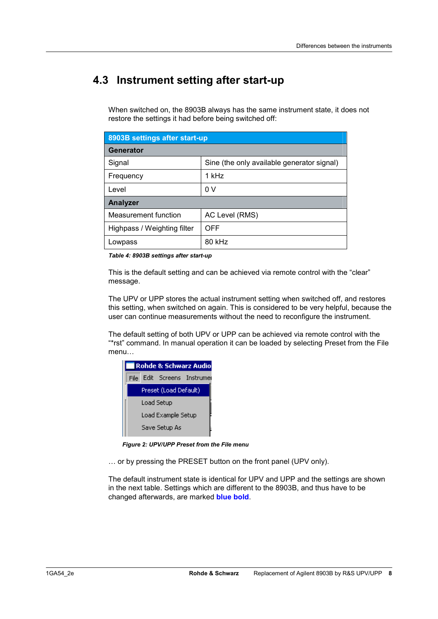### **4.3 Instrument setting after start-up**

When switched on, the 8903B always has the same instrument state, it does not restore the settings it had before being switched off:

| 8903B settings after start-up |                                            |  |  |
|-------------------------------|--------------------------------------------|--|--|
| Generator                     |                                            |  |  |
| Signal                        | Sine (the only available generator signal) |  |  |
| Frequency                     | 1 kHz                                      |  |  |
| Level                         | 0 <sup>V</sup>                             |  |  |
| <b>Analyzer</b>               |                                            |  |  |
| Measurement function          | AC Level (RMS)                             |  |  |
| Highpass / Weighting filter   | OFF                                        |  |  |
| Lowpass                       | 80 kHz                                     |  |  |

*Table 4: 8903B settings after start-up* 

This is the default setting and can be achieved via remote control with the "clear" message.

The UPV or UPP stores the actual instrument setting when switched off, and restores this setting, when switched on again. This is considered to be very helpful, because the user can continue measurements without the need to reconfigure the instrument.

The default setting of both UPV or UPP can be achieved via remote control with the "\*rst" command. In manual operation it can be loaded by selecting Preset from the File menu…

| Rohde & Schwarz Audio |                    |                       |                        |
|-----------------------|--------------------|-----------------------|------------------------|
| File.                 |                    |                       | Edit Screens Instrumer |
|                       |                    | Preset (Load Default) |                        |
|                       | Load Setup         |                       |                        |
|                       | Load Example Setup |                       |                        |
|                       |                    | Save Setup As         |                        |

*Figure 2: UPV/UPP Preset from the File menu* 

… or by pressing the PRESET button on the front panel (UPV only).

The default instrument state is identical for UPV and UPP and the settings are shown in the next table. Settings which are different to the 8903B, and thus have to be changed afterwards, are marked **blue bold**.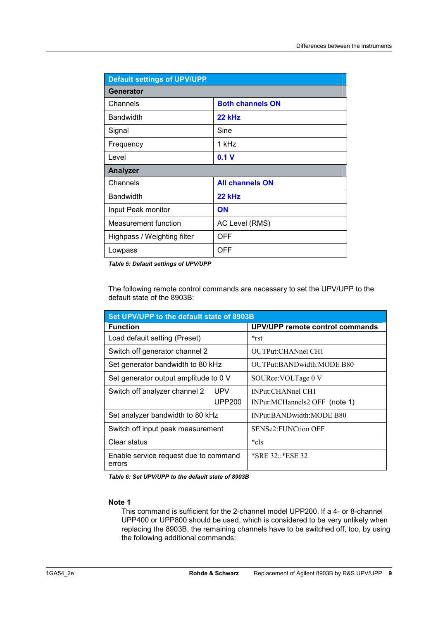| <b>Default settings of UPV/UPP</b> |                         |  |
|------------------------------------|-------------------------|--|
| Generator                          |                         |  |
| Channels                           | <b>Both channels ON</b> |  |
| <b>Bandwidth</b>                   | 22 kHz                  |  |
| Signal                             | Sine                    |  |
| Frequency                          | 1 kHz                   |  |
| Level                              | 0.1V                    |  |
| <b>Analyzer</b>                    |                         |  |
| Channels                           | <b>All channels ON</b>  |  |
| <b>Bandwidth</b>                   | 22 kHz                  |  |
| Input Peak monitor                 | <b>ON</b>               |  |
| Measurement function               | AC Level (RMS)          |  |
| Highpass / Weighting filter        | <b>OFF</b>              |  |
| Lowpass                            | <b>OFF</b>              |  |

*Table 5: Default settings of UPV/UPP* 

The following remote control commands are necessary to set the UPV/UPP to the default state of the 8903B:

| Set UPV/UPP to the default state of 8903B       |                                 |  |  |
|-------------------------------------------------|---------------------------------|--|--|
| <b>Function</b>                                 | UPV/UPP remote control commands |  |  |
| Load default setting (Preset)                   | *rst                            |  |  |
| Switch off generator channel 2                  | OUTPut:CHANnel CH1              |  |  |
| Set generator bandwidth to 80 kHz               | OUTPut:BANDwidth:MODE B80       |  |  |
| Set generator output amplitude to 0 V           | SOURce: VOLTage 0 V             |  |  |
| Switch off analyzer channel 2<br>UPV            | INPut:CHANnel CH1               |  |  |
| <b>UPP200</b>                                   | INPut:MCHannels2 OFF (note 1)   |  |  |
| Set analyzer bandwidth to 80 kHz                | INPut:BANDwidth:MODE B80        |  |  |
| Switch off input peak measurement               | <b>SENSe2:FUNCtion OFF</b>      |  |  |
| Clear status                                    | *cls                            |  |  |
| Enable service request due to command<br>errors | *SRE 32::*ESE 32                |  |  |

*Table 6: Set UPV/UPP to the default state of 8903B* 

#### **Note 1**

This command is sufficient for the 2-channel model UPP200. If a 4- or 8-channel UPP400 or UPP800 should be used, which is considered to be very unlikely when replacing the 8903B, the remaining channels have to be switched off, too, by using the following additional commands: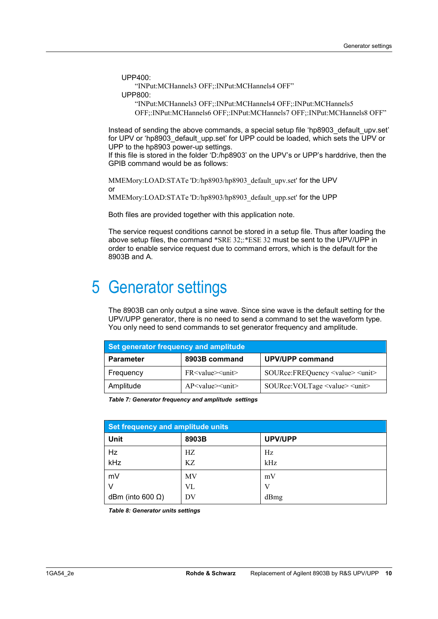UPP400:

"INPut:MCHannels3 OFF;:INPut:MCHannels4 OFF"

UPP800:

"INPut:MCHannels3 OFF;:INPut:MCHannels4 OFF;:INPut:MCHannels5 OFF;:INPut:MCHannels6 OFF;:INPut:MCHannels7 OFF;:INPut:MCHannels8 OFF"

Instead of sending the above commands, a special setup file 'hp8903\_default\_upv.set' for UPV or 'hp8903 default upp.set' for UPP could be loaded, which sets the UPV or UPP to the hp8903 power-up settings.

If this file is stored in the folder 'D:/hp8903' on the UPV's or UPP's harddrive, then the GPIB command would be as follows:

MMEMory:LOAD:STATe 'D:/hp8903/hp8903\_default\_upv.set' for the UPV or MMEMory:LOAD:STATe 'D:/hp8903/hp8903\_default\_upp.set' for the UPP

Both files are provided together with this application note.

The service request conditions cannot be stored in a setup file. Thus after loading the above setup files, the command \*SRE 32;: \*ESE 32 must be sent to the UPV/UPP in order to enable service request due to command errors, which is the default for the 8903B and A.

## 5 Generator settings

The 8903B can only output a sine wave. Since sine wave is the default setting for the UPV/UPP generator, there is no need to send a command to set the waveform type. You only need to send commands to set generator frequency and amplitude.

| Set generator frequency and amplitude |                                                   |                                                |  |
|---------------------------------------|---------------------------------------------------|------------------------------------------------|--|
| <b>Parameter</b>                      | 8903B command                                     | <b>UPV/UPP command</b>                         |  |
| Frequency                             | $FR < value > <$ unit $>$                         | SOURce:FREQuency <value> <unit></unit></value> |  |
| Amplitude                             | $AP$ $\langle$ value $>$ $\langle$ unit $\rangle$ | SOURce: VOLTage <value> <unit></unit></value>  |  |

*Table 7: Generator frequency and amplitude settings* 

| Set frequency and amplitude units |       |                |  |
|-----------------------------------|-------|----------------|--|
| <b>Unit</b>                       | 8903B | <b>UPV/UPP</b> |  |
| Hz                                | HZ.   | Hz             |  |
| kHz                               | KZ.   | kHz            |  |
| mV                                | MV    | mV             |  |
| v                                 | VL    | V              |  |
| dBm (into 600 $\Omega$ )          | DV    | dBmg           |  |

*Table 8: Generator units settings*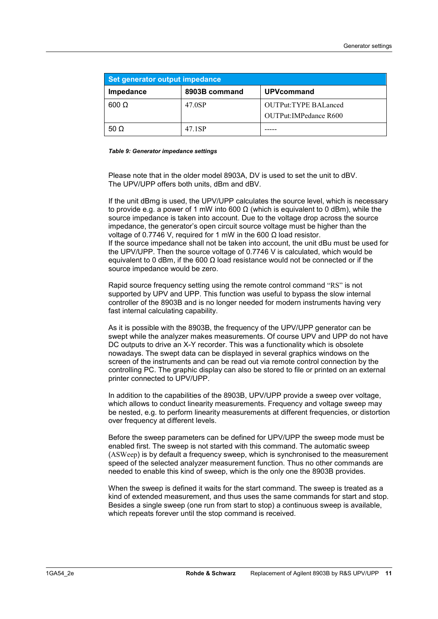| Set generator output impedance |               |                                                       |  |
|--------------------------------|---------------|-------------------------------------------------------|--|
| Impedance                      | 8903B command | <b>UPVcommand</b>                                     |  |
| $600 \Omega$                   | 47.0SP        | <b>OUTPut:TYPE BALanced</b><br>OUTPut: IMPedance R600 |  |
| 50 $\Omega$                    | 47.1SP        |                                                       |  |

#### *Table 9: Generator impedance settings*

Please note that in the older model 8903A, DV is used to set the unit to dBV. The UPV/UPP offers both units, dBm and dBV.

If the unit dBmg is used, the UPV/UPP calculates the source level, which is necessary to provide e.g. a power of 1 mW into 600  $\Omega$  (which is equivalent to 0 dBm), while the source impedance is taken into account. Due to the voltage drop across the source impedance, the generator's open circuit source voltage must be higher than the voltage of 0.7746 V, required for 1 mW in the 600  $\Omega$  load resistor. If the source impedance shall not be taken into account, the unit dBu must be used for the UPV/UPP. Then the source voltage of 0.7746 V is calculated, which would be equivalent to 0 dBm, if the 600  $\Omega$  load resistance would not be connected or if the source impedance would be zero.

Rapid source frequency setting using the remote control command "RS" is not supported by UPV and UPP. This function was useful to bypass the slow internal controller of the 8903B and is no longer needed for modern instruments having very fast internal calculating capability.

As it is possible with the 8903B, the frequency of the UPV/UPP generator can be swept while the analyzer makes measurements. Of course UPV and UPP do not have DC outputs to drive an X-Y recorder. This was a functionality which is obsolete nowadays. The swept data can be displayed in several graphics windows on the screen of the instruments and can be read out via remote control connection by the controlling PC. The graphic display can also be stored to file or printed on an external printer connected to UPV/UPP.

In addition to the capabilities of the 8903B, UPV/UPP provide a sweep over voltage, which allows to conduct linearity measurements. Frequency and voltage sweep may be nested, e.g. to perform linearity measurements at different frequencies, or distortion over frequency at different levels.

Before the sweep parameters can be defined for UPV/UPP the sweep mode must be enabled first. The sweep is not started with this command. The automatic sweep (ASWeep) is by default a frequency sweep, which is synchronised to the measurement speed of the selected analyzer measurement function. Thus no other commands are needed to enable this kind of sweep, which is the only one the 8903B provides.

When the sweep is defined it waits for the start command. The sweep is treated as a kind of extended measurement, and thus uses the same commands for start and stop. Besides a single sweep (one run from start to stop) a continuous sweep is available, which repeats forever until the stop command is received.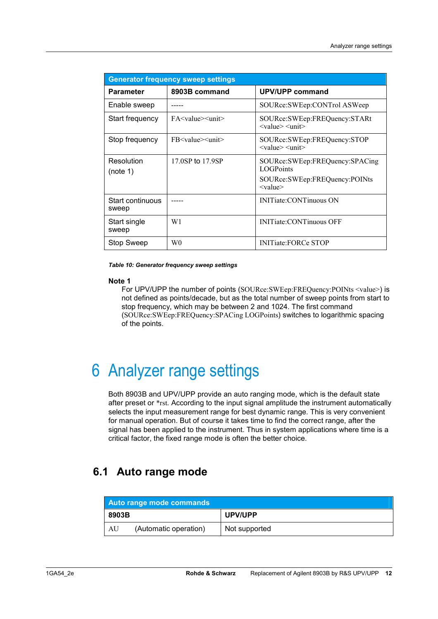| <b>Generator frequency sweep settings</b> |                                 |                                                                                                                  |  |
|-------------------------------------------|---------------------------------|------------------------------------------------------------------------------------------------------------------|--|
| <b>Parameter</b>                          | 8903B command                   | UPV/UPP command                                                                                                  |  |
| Enable sweep                              |                                 | SOURce:SWEep:CONTrol ASWeep                                                                                      |  |
| Start frequency                           | $FA < value > <$ unit $>$       | SOURce:SWEep:FREQuency:STARt<br>$\langle$ value $\rangle$ $\langle$ unit $\rangle$                               |  |
| Stop frequency                            | FB <value><unit></unit></value> | SOURce:SWEep:FREQuency:STOP<br>$\langle$ value $\rangle$ $\langle$ unit $\rangle$                                |  |
| Resolution<br>(note 1)                    | 17.0SP to 17.9SP                | SOURce:SWEep:FREQuency:SPACing<br><b>LOGPoints</b><br>SOURce:SWEep:FREQuency:POINts<br>$\langle$ value $\rangle$ |  |
| Start continuous<br>sweep                 |                                 | <b>INITiate:CONTinuous ON</b>                                                                                    |  |
| Start single<br>sweep                     | W1                              | <b>INITiate:CONTinuous OFF</b>                                                                                   |  |
| <b>Stop Sweep</b>                         | W <sub>0</sub>                  | <b>INITiate:FORCe STOP</b>                                                                                       |  |

*Table 10: Generator frequency sweep settings* 

#### **Note 1**

For UPV/UPP the number of points (SOURce:SWEep:FREQuency:POINts <value>) is not defined as points/decade, but as the total number of sweep points from start to stop frequency, which may be between 2 and 1024. The first command (SOURce:SWEep:FREQuency:SPACing LOGPoints) switches to logarithmic spacing of the points.

## 6 Analyzer range settings

Both 8903B and UPV/UPP provide an auto ranging mode, which is the default state after preset or \*rst. According to the input signal amplitude the instrument automatically selects the input measurement range for best dynamic range. This is very convenient for manual operation. But of course it takes time to find the correct range, after the signal has been applied to the instrument. Thus in system applications where time is a critical factor, the fixed range mode is often the better choice.

### **6.1 Auto range mode**

| Auto range mode commands |                       |               |
|--------------------------|-----------------------|---------------|
| 8903B                    |                       | UPV/UPP       |
| AU                       | (Automatic operation) | Not supported |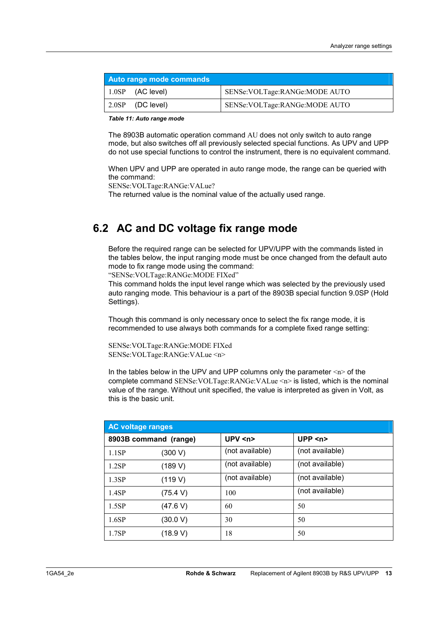| Auto range mode commands |                                  |
|--------------------------|----------------------------------|
| $1.0SP$ (AC level)       | SENSe: VOLTage: RANGe: MODE AUTO |
| 2.0SP (DC level)         | SENSe: VOLTage: RANGe: MODE AUTO |

*Table 11: Auto range mode* 

The 8903B automatic operation command AU does not only switch to auto range mode, but also switches off all previously selected special functions. As UPV and UPP do not use special functions to control the instrument, there is no equivalent command.

When UPV and UPP are operated in auto range mode, the range can be queried with the command:

SENSe:VOLTage:RANGe:VALue?

The returned value is the nominal value of the actually used range.

### **6.2 AC and DC voltage fix range mode**

Before the required range can be selected for UPV/UPP with the commands listed in the tables below, the input ranging mode must be once changed from the default auto mode to fix range mode using the command:

"SENSe:VOLTage:RANGe:MODE FIXed"

This command holds the input level range which was selected by the previously used auto ranging mode. This behaviour is a part of the 8903B special function 9.0SP (Hold Settings).

Though this command is only necessary once to select the fix range mode, it is recommended to use always both commands for a complete fixed range setting:

SENSe:VOLTage:RANGe:MODE FIXed SENSe:VOLTage:RANGe:VALue <n>

In the tables below in the UPV and UPP columns only the parameter  $\langle n \rangle$  of the complete command SENSe:VOLTage:RANGe:VALue <n> is listed, which is the nominal value of the range. Without unit specified, the value is interpreted as given in Volt, as this is the basic unit.

| <b>AC voltage ranges</b> |                       |                 |                 |
|--------------------------|-----------------------|-----------------|-----------------|
|                          | 8903B command (range) | UPV < n         | UPP $\leq n$    |
| 1.1SP                    | (300 V)               | (not available) | (not available) |
| 1.2SP                    | (189 V)               | (not available) | (not available) |
| 1.3SP                    | (119 V)               | (not available) | (not available) |
| 1.4SP                    | (75.4 V)              | 100             | (not available) |
| 1.5SP                    | (47.6 V)              | 60              | 50              |
| 1.6SP                    | (30.0 V)              | 30              | 50              |
| 1.7SP                    | (18.9 V)              | 18              | 50              |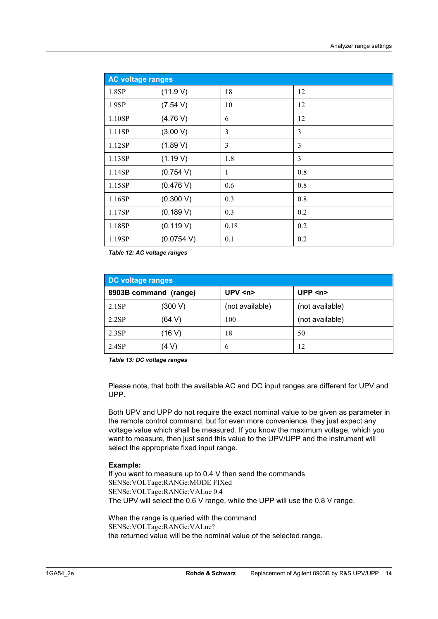| <b>AC voltage ranges</b> |            |      |     |
|--------------------------|------------|------|-----|
| 1.8SP                    | (11.9 V)   | 18   | 12  |
| 1.9SP                    | (7.54 V)   | 10   | 12  |
| 1.10SP                   | (4.76 V)   | 6    | 12  |
| 1.11SP                   | (3.00 V)   | 3    | 3   |
| 1.12SP                   | (1.89 V)   | 3    | 3   |
| 1.13SP                   | (1.19 V)   | 1.8  | 3   |
| 1.14SP                   | (0.754 V)  | 1    | 0.8 |
| 1.15SP                   | (0.476 V)  | 0.6  | 0.8 |
| 1.16SP                   | (0.300 V)  | 0.3  | 0.8 |
| 1.17SP                   | (0.189 V)  | 0.3  | 0.2 |
| 1.18SP                   | (0.119 V)  | 0.18 | 0.2 |
| 1.19SP                   | (0.0754 V) | 0.1  | 0.2 |

*Table 12: AC voltage ranges* 

| DC voltage ranges |                       |                 |                 |
|-------------------|-----------------------|-----------------|-----------------|
|                   | 8903B command (range) | UPV < n         | UPP $\leq n$    |
| 2.1SP             | (300 V)               | (not available) | (not available) |
| 2.2SP             | (64 V)                | 100             | (not available) |
| 2.3SP             | (16 V)                | 18              | 50              |
| 2.4SP             | (4 V)                 | b               | 12              |

*Table 13: DC voltage ranges* 

Please note, that both the available AC and DC input ranges are different for UPV and UPP.

Both UPV and UPP do not require the exact nominal value to be given as parameter in the remote control command, but for even more convenience, they just expect any voltage value which shall be measured. If you know the maximum voltage, which you want to measure, then just send this value to the UPV/UPP and the instrument will select the appropriate fixed input range.

#### **Example:**

If you want to measure up to 0.4 V then send the commands SENSe:VOLTage:RANGe:MODE FIXed SENSe:VOLTage:RANGe:VALue 0.4 The UPV will select the 0.6 V range, while the UPP will use the 0.8 V range.

When the range is queried with the command SENSe:VOLTage:RANGe:VALue? the returned value will be the nominal value of the selected range.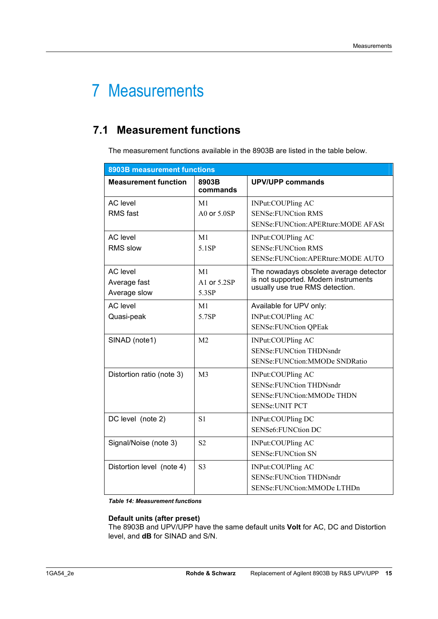## 7 Measurements

### **7.1 Measurement functions**

The measurement functions available in the 8903B are listed in the table below.

| 8903B measurement functions                     |                               |                                                                                                                   |  |
|-------------------------------------------------|-------------------------------|-------------------------------------------------------------------------------------------------------------------|--|
| <b>Measurement function</b>                     | 8903B<br>commands             | <b>UPV/UPP commands</b>                                                                                           |  |
| <b>AC</b> level<br><b>RMS</b> fast              | M <sub>1</sub><br>A0 or 5.0SP | INPut:COUPling AC<br><b>SENSe:FUNCtion RMS</b><br>SENSe: FUNCtion: APERture: MODE AFASt                           |  |
| <b>AC</b> level<br><b>RMS slow</b>              | M1<br>5.1SP                   | INPut:COUPling AC<br><b>SENSe:FUNCtion RMS</b><br>SENSe: FUNCtion: APERture: MODE AUTO                            |  |
| <b>AC</b> level<br>Average fast<br>Average slow | M1<br>A1 or 5.2SP<br>5.3SP    | The nowadays obsolete average detector<br>is not supported. Modern instruments<br>usually use true RMS detection. |  |
| <b>AC</b> level<br>Quasi-peak                   | M <sub>1</sub><br>5.7SP       | Available for UPV only:<br>INPut:COUPling AC<br><b>SENSe:FUNCtion QPEak</b>                                       |  |
| SINAD (note1)                                   | M <sub>2</sub>                | INPut:COUPling AC<br><b>SENSe:FUNCtion THDNsndr</b><br>SENSe:FUNCtion:MMODe SNDRatio                              |  |
| Distortion ratio (note 3)                       | M <sub>3</sub>                | INPut:COUPling AC<br><b>SENSe:FUNCtion THDNsndr</b><br>SENSe:FUNCtion:MMODe THDN<br><b>SENSe: UNIT PCT</b>        |  |
| DC level (note 2)                               | S <sub>1</sub>                | INPut:COUPling DC<br>SENSe6:FUNCtion DC                                                                           |  |
| Signal/Noise (note 3)                           | S <sub>2</sub>                | INPut:COUPling AC<br><b>SENSe:FUNCtion SN</b>                                                                     |  |
| Distortion level (note 4)                       | S <sub>3</sub>                | INPut:COUPling AC<br><b>SENSe:FUNCtion THDNsndr</b><br>SENSe:FUNCtion:MMODe LTHDn                                 |  |

*Table 14: Measurement functions* 

#### **Default units (after preset)**

The 8903B and UPV/UPP have the same default units **Volt** for AC, DC and Distortion level, and **dB** for SINAD and S/N.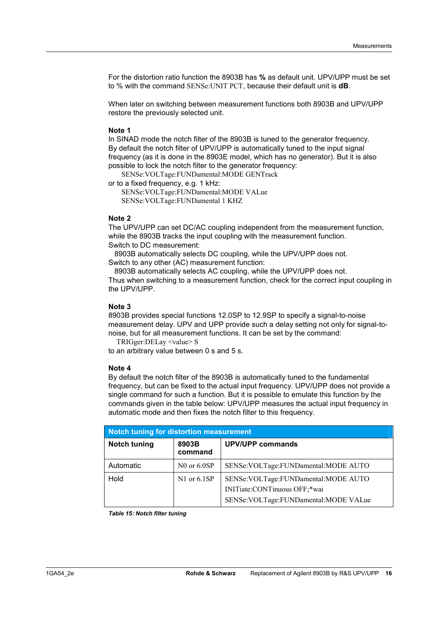For the distortion ratio function the 8903B has **%** as default unit. UPV/UPP must be set to % with the command SENSe:UNIT PCT, because their default unit is **dB**.

When later on switching between measurement functions both 8903B and UPV/UPP restore the previously selected unit.

#### **Note 1**

In SINAD mode the notch filter of the 8903B is tuned to the generator frequency. By default the notch filter of UPV/UPP is automatically tuned to the input signal frequency (as it is done in the 8903E model, which has no generator). But it is also possible to lock the notch filter to the generator frequency:

SENSe:VOLTage:FUNDamental:MODE GENTrack

or to a fixed frequency, e.g. 1 kHz:

SENSe:VOLTage:FUNDamental:MODE VALue SENSe:VOLTage:FUNDamental 1 KHZ

#### **Note 2**

The UPV/UPP can set DC/AC coupling independent from the measurement function, while the 8903B tracks the input coupling with the measurement function. Switch to DC measurement:

 8903B automatically selects DC coupling, while the UPV/UPP does not. Switch to any other (AC) measurement function:

8903B automatically selects AC coupling, while the UPV/UPP does not. Thus when switching to a measurement function, check for the correct input coupling in the UPV/UPP.

#### **Note 3**

8903B provides special functions 12.0SP to 12.9SP to specify a signal-to-noise measurement delay. UPV and UPP provide such a delay setting not only for signal-tonoise, but for all measurement functions. It can be set by the command:

TRIGger:DELay <value> S

to an arbitrary value between 0 s and 5 s.

#### **Note 4**

By default the notch filter of the 8903B is automatically tuned to the fundamental frequency, but can be fixed to the actual input frequency. UPV/UPP does not provide a single command for such a function. But it is possible to emulate this function by the commands given in the table below: UPV/UPP measures the actual input frequency in automatic mode and then fixes the notch filter to this frequency.

| Notch tuning for distortion measurement |                                             |                                                                                                                   |  |
|-----------------------------------------|---------------------------------------------|-------------------------------------------------------------------------------------------------------------------|--|
| <b>Notch tuning</b>                     | <b>UPV/UPP commands</b><br>8903B<br>command |                                                                                                                   |  |
| Automatic                               | $N0$ or $6.0SP$                             | SENSe: VOLTage: FUNDamental: MODE AUTO                                                                            |  |
| Hold                                    | $N1$ or $6.1SP$                             | SENSe: VOLTage: FUNDamental: MODE AUTO<br>INITiate:CONTinuous OFF;*wai<br>SENSe: VOLTage: FUNDamental: MODE VALue |  |

*Table 15: Notch filter tuning*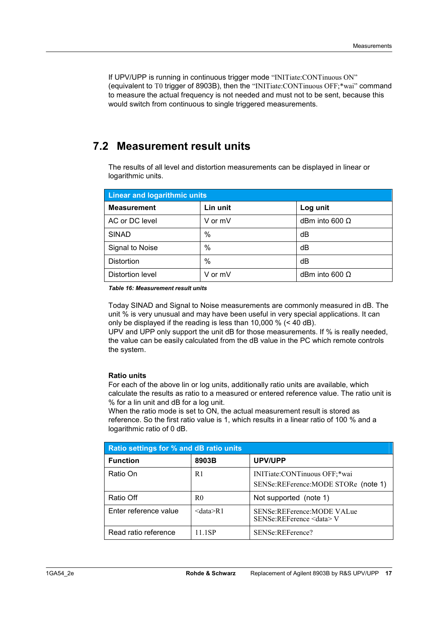If UPV/UPP is running in continuous trigger mode "INITiate:CONTinuous ON" (equivalent to T0 trigger of 8903B), then the "INITiate:CONTinuous OFF;\*wai" command to measure the actual frequency is not needed and must not to be sent, because this would switch from continuous to single triggered measurements.

### **7.2 Measurement result units**

The results of all level and distortion measurements can be displayed in linear or logarithmic units.

| <b>Linear and logarithmic units</b> |          |                       |  |
|-------------------------------------|----------|-----------------------|--|
| <b>Measurement</b>                  | Lin unit | Log unit              |  |
| AC or DC level                      | V or mV  | dBm into 600 $\Omega$ |  |
| <b>SINAD</b>                        | $\%$     | dB                    |  |
| Signal to Noise                     | $\%$     | dB                    |  |
| Distortion                          | $\%$     | dB                    |  |
| Distortion level                    | V or mV  | dBm into 600 $\Omega$ |  |

*Table 16: Measurement result units* 

Today SINAD and Signal to Noise measurements are commonly measured in dB. The unit % is very unusual and may have been useful in very special applications. It can only be displayed if the reading is less than 10,000 % (< 40 dB).

UPV and UPP only support the unit dB for those measurements. If % is really needed, the value can be easily calculated from the dB value in the PC which remote controls the system.

#### **Ratio units**

For each of the above lin or log units, additionally ratio units are available, which calculate the results as ratio to a measured or entered reference value. The ratio unit is % for a lin unit and dB for a log unit.

When the ratio mode is set to ON, the actual measurement result is stored as reference. So the first ratio value is 1, which results in a linear ratio of 100 % and a logarithmic ratio of 0 dB.

| Ratio settings for % and dB ratio units |           |                                                                     |  |
|-----------------------------------------|-----------|---------------------------------------------------------------------|--|
| <b>Function</b>                         | 8903B     | UPV/UPP                                                             |  |
| Ratio On                                | R1        | INITiate:CONTinuous OFF;*wai<br>SENSe:REFerence:MODE STORe (note 1) |  |
| Ratio Off                               | R0        | Not supported (note 1)                                              |  |
| Enter reference value                   | < data>R1 | SENSe:REFerence:MODE VALue<br>SENSe:REFerence <data> V</data>       |  |
| Read ratio reference                    | 11 1SP    | SENSe:REFerence?                                                    |  |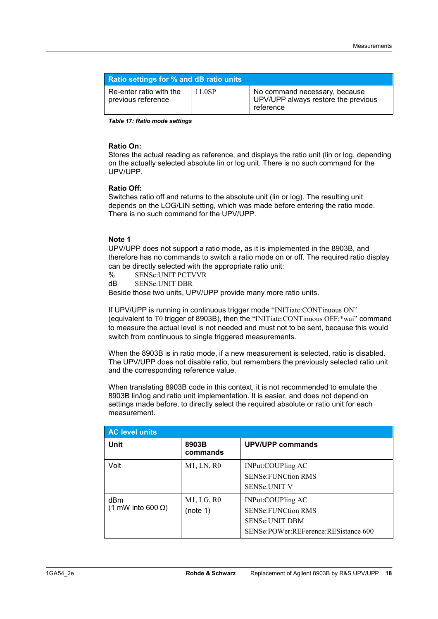| <b>Ratio settings for % and dB ratio units</b> |        |                                                                                   |
|------------------------------------------------|--------|-----------------------------------------------------------------------------------|
| Re-enter ratio with the<br>previous reference  | 11.0SP | No command necessary, because<br>UPV/UPP always restore the previous<br>reference |

*Table 17: Ratio mode settings* 

#### **Ratio On:**

Stores the actual reading as reference, and displays the ratio unit (lin or log, depending on the actually selected absolute lin or log unit. There is no such command for the UPV/UPP.

#### **Ratio Off:**

Switches ratio off and returns to the absolute unit (lin or log). The resulting unit depends on the LOG/LIN setting, which was made before entering the ratio mode. There is no such command for the UPV/UPP.

#### **Note 1**

UPV/UPP does not support a ratio mode, as it is implemented in the 8903B, and therefore has no commands to switch a ratio mode on or off. The required ratio display can be directly selected with the appropriate ratio unit:

- % SENSe:UNIT PCTVVR
- dB SENSe:UNIT DBR

Beside those two units, UPV/UPP provide many more ratio units.

If UPV/UPP is running in continuous trigger mode "INITiate:CONTinuous ON" (equivalent to T0 trigger of 8903B), then the "INITiate:CONTinuous OFF;\*wai" command to measure the actual level is not needed and must not to be sent, because this would switch from continuous to single triggered measurements.

When the 8903B is in ratio mode, if a new measurement is selected, ratio is disabled. The UPV/UPP does not disable ratio, but remembers the previously selected ratio unit and the corresponding reference value.

When translating 8903B code in this context, it is not recommended to emulate the 8903B lin/log and ratio unit implementation. It is easier, and does not depend on settings made before, to directly select the required absolute or ratio unit for each measurement.

| <b>AC level units</b>            |                        |                                                                                                                 |
|----------------------------------|------------------------|-----------------------------------------------------------------------------------------------------------------|
| <b>Unit</b>                      | 8903B<br>commands      | <b>UPV/UPP commands</b>                                                                                         |
| Volt                             | $M1$ , LN, R0          | INPut:COUPling AC<br><b>SENSe: FUNCtion RMS</b><br><b>SENSe:UNIT V</b>                                          |
| dBm<br>(1 mW into 600 $\Omega$ ) | M1, LG, R0<br>(note 1) | INPut:COUPling AC<br><b>SENSe:FUNCtion RMS</b><br><b>SENSe:UNIT DBM</b><br>SENSe:POWer:REFerence:RESistance 600 |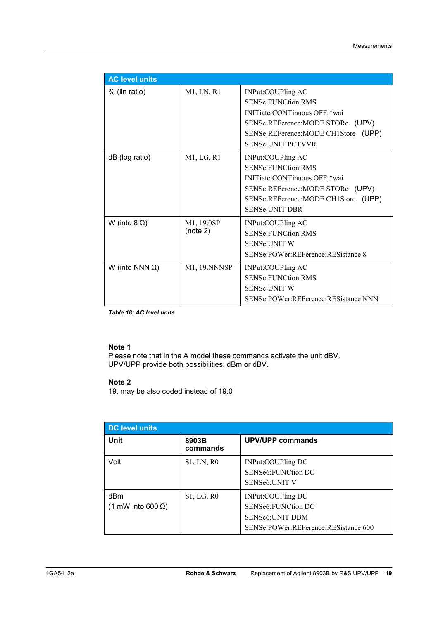| <b>AC level units</b>  |                        |                                                                                                                                                                                        |
|------------------------|------------------------|----------------------------------------------------------------------------------------------------------------------------------------------------------------------------------------|
| % (lin ratio)          | M1, LN, R1             | INPut:COUPling AC<br><b>SENSe: FUNCtion RMS</b><br>INITiate:CONTinuous OFF;*wai<br>SENSe:REFerence:MODE STORe (UPV)<br>SENSe:REFerence:MODE CH1Store (UPP)<br><b>SENSe:UNIT PCTVVR</b> |
| dB (log ratio)         | M1, LG, R1             | INPut:COUPling AC<br><b>SENSe:FUNCtion RMS</b><br>INITiate:CONTinuous OFF;*wai<br>SENSe:REFerence:MODE STORe (UPV)<br>SENSe:REFerence:MODE CH1Store (UPP)<br><b>SENSe:UNIT DBR</b>     |
| W (into $8 \Omega$ )   | M1, 19.0SP<br>(note 2) | INPut:COUPling AC<br><b>SENSe:FUNCtion RMS</b><br><b>SENSe:UNIT W</b><br>SENSe:POWer:REFerence:RESistance 8                                                                            |
| W (into NNN $\Omega$ ) | M1, 19. NNNSP          | INPut:COUPling AC<br><b>SENSe:FUNCtion RMS</b><br><b>SENSe:UNIT W</b><br>SENSe:POWer:REFerence:RESistance NNN                                                                          |

*Table 18: AC level units* 

#### **Note 1**

Please note that in the A model these commands activate the unit dBV. UPV/UPP provide both possibilities: dBm or dBV.

#### **Note 2**

19. may be also coded instead of 19.0

| <b>DC level units</b>            |                   |                                                                                                            |
|----------------------------------|-------------------|------------------------------------------------------------------------------------------------------------|
| <b>Unit</b>                      | 8903B<br>commands | <b>UPV/UPP commands</b>                                                                                    |
| Volt                             | <b>S1, LN, R0</b> | INPut:COUPling DC<br>SENSe6: FUNCtion DC<br><b>SENSe6:UNIT V</b>                                           |
| dBm<br>(1 mW into 600 $\Omega$ ) | S1, LG, R0        | INPut:COUPling DC<br>SENSe6: FUNCtion DC<br><b>SENSe6:UNIT DBM</b><br>SENSe:POWer:REFerence:RESistance 600 |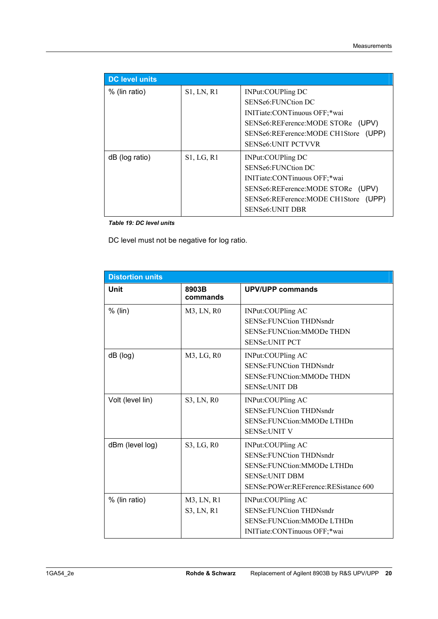| <b>DC level units</b> |                   |                                      |
|-----------------------|-------------------|--------------------------------------|
| % (lin ratio)         | <b>S1, LN, R1</b> | INPut:COUPling DC                    |
|                       |                   | SENSe6: FUNCtion DC                  |
|                       |                   | INITiate:CONTinuous OFF;*wai         |
|                       |                   | SENSe6:REFerence:MODE STORe (UPV)    |
|                       |                   | SENSe6:REFerence:MODE CH1Store (UPP) |
|                       |                   | <b>SENSe6: UNIT PCTVVR</b>           |
| dB (log ratio)        | S1, LG, R1        | INPut:COUPling DC                    |
|                       |                   | SENSe6: FUNCtion DC                  |
|                       |                   | INITiate:CONTinuous OFF;*wai         |
|                       |                   | SENSe6:REFerence:MODE STORe (UPV)    |
|                       |                   | SENSe6:REFerence:MODE CH1Store (UPP) |
|                       |                   | <b>SENSe6:UNIT DBR</b>               |

*Table 19: DC level units* 

DC level must not be negative for log ratio.

| <b>Distortion units</b> |                          |                                                                                                                                                      |
|-------------------------|--------------------------|------------------------------------------------------------------------------------------------------------------------------------------------------|
| Unit                    | 8903B<br>commands        | <b>UPV/UPP commands</b>                                                                                                                              |
| $%$ (lin)               | M3, LN, R0               | INPut:COUPling AC<br><b>SENSe:FUNCtion THDNsndr</b><br>SENSe: FUNCtion: MMODe THDN<br><b>SENSe: UNIT PCT</b>                                         |
| dB (log)                | M3, LG, R0               | INPut:COUPling AC<br><b>SENSe:FUNCtion THDNsndr</b><br>SENSe: FUNCtion: MMODe THDN<br><b>SENSe:UNIT DB</b>                                           |
| Volt (level lin)        | S3, LN, R0               | INPut:COUPling AC<br><b>SENSe:FUNCtion THDNsndr</b><br>SENSe: FUNCtion: MMODe LTHDn<br><b>SENSe: UNIT V</b>                                          |
| dBm (level log)         | S3, LG, R0               | INPut:COUPling AC<br><b>SENSe:FUNCtion THDNsndr</b><br>SENSe: FUNCtion: MMODe LTHDn<br><b>SENSe:UNIT DBM</b><br>SENSe:POWer:REFerence:RESistance 600 |
| % (lin ratio)           | M3, LN, R1<br>S3, LN, R1 | INPut:COUPling AC<br><b>SENSe:FUNCtion THDNsndr</b><br>SENSe: FUNCtion: MMODe LTHDn<br>INITiate:CONTinuous OFF;*wai                                  |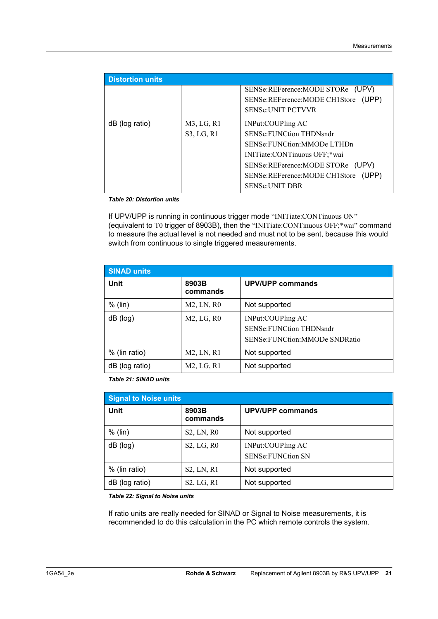| <b>Distortion units</b> |                             |                                                                                                                                                                                                                          |
|-------------------------|-----------------------------|--------------------------------------------------------------------------------------------------------------------------------------------------------------------------------------------------------------------------|
|                         |                             | SENSe:REFerence:MODE STORe (UPV)<br>SENSe:REFerence:MODE CH1Store (UPP)<br><b>SENSe: UNIT PCTVVR</b>                                                                                                                     |
| dB (log ratio)          | $M3$ , LG, R1<br>S3, LG, R1 | INPut:COUPling AC<br><b>SENSe: FUNCtion THDNsndr</b><br>SENSe: FUNCtion: MMODe LTHDn<br>INITiate:CONTinuous OFF;*wai<br>SENSe:REFerence:MODE STORe (UPV)<br>SENSe:REFerence:MODE CH1Store (UPP)<br><b>SENSe:UNIT DBR</b> |

*Table 20: Distortion units* 

If UPV/UPP is running in continuous trigger mode "INITiate:CONTinuous ON" (equivalent to T0 trigger of 8903B), then the "INITiate:CONTinuous OFF;\*wai" command to measure the actual level is not needed and must not to be sent, because this would switch from continuous to single triggered measurements.

| <b>SINAD units</b> |                   |                                                                                             |
|--------------------|-------------------|---------------------------------------------------------------------------------------------|
| <b>Unit</b>        | 8903B<br>commands | <b>UPV/UPP commands</b>                                                                     |
| $%$ (lin)          | M2, LN, R0        | Not supported                                                                               |
| dB (log)           | M2, LG, R0        | INPut:COUPling AC<br><b>SENSe:FUNCtion THDNsndr</b><br><b>SENSe:FUNCtion:MMODe SNDRatio</b> |
| % (lin ratio)      | M2, LN, R1        | Not supported                                                                               |
| dB (log ratio)     | M2, LG, R1        | Not supported                                                                               |

*Table 21: SINAD units* 

| <b>Signal to Noise units</b> |                   |                                               |
|------------------------------|-------------------|-----------------------------------------------|
| <b>Unit</b>                  | 8903B<br>commands | <b>UPV/UPP commands</b>                       |
| $%$ (lin)                    | S2, LN, R0        | Not supported                                 |
| $dB$ ( $log$ )               | S2, LG, R0        | INPut:COUPling AC<br><b>SENSe:FUNCtion SN</b> |
| % (lin ratio)                | S2, LN, R1        | Not supported                                 |
| dB (log ratio)               | S2, LG, R1        | Not supported                                 |

*Table 22: Signal to Noise units* 

If ratio units are really needed for SINAD or Signal to Noise measurements, it is recommended to do this calculation in the PC which remote controls the system.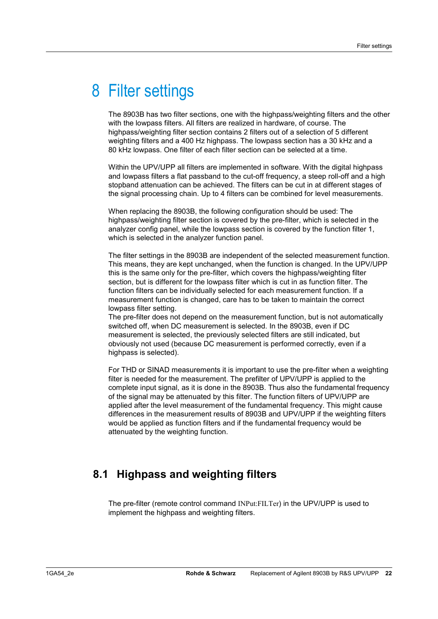## 8 Filter settings

The 8903B has two filter sections, one with the highpass/weighting filters and the other with the lowpass filters. All filters are realized in hardware, of course. The highpass/weighting filter section contains 2 filters out of a selection of 5 different weighting filters and a 400 Hz highpass. The lowpass section has a 30 kHz and a 80 kHz lowpass. One filter of each filter section can be selected at a time.

Within the UPV/UPP all filters are implemented in software. With the digital highpass and lowpass filters a flat passband to the cut-off frequency, a steep roll-off and a high stopband attenuation can be achieved. The filters can be cut in at different stages of the signal processing chain. Up to 4 filters can be combined for level measurements.

When replacing the 8903B, the following configuration should be used: The highpass/weighting filter section is covered by the pre-filter, which is selected in the analyzer config panel, while the lowpass section is covered by the function filter 1, which is selected in the analyzer function panel.

The filter settings in the 8903B are independent of the selected measurement function. This means, they are kept unchanged, when the function is changed. In the UPV/UPP this is the same only for the pre-filter, which covers the highpass/weighting filter section, but is different for the lowpass filter which is cut in as function filter. The function filters can be individually selected for each measurement function. If a measurement function is changed, care has to be taken to maintain the correct lowpass filter setting.

The pre-filter does not depend on the measurement function, but is not automatically switched off, when DC measurement is selected. In the 8903B, even if DC measurement is selected, the previously selected filters are still indicated, but obviously not used (because DC measurement is performed correctly, even if a highpass is selected).

For THD or SINAD measurements it is important to use the pre-filter when a weighting filter is needed for the measurement. The prefilter of UPV/UPP is applied to the complete input signal, as it is done in the 8903B. Thus also the fundamental frequency of the signal may be attenuated by this filter. The function filters of UPV/UPP are applied after the level measurement of the fundamental frequency. This might cause differences in the measurement results of 8903B and UPV/UPP if the weighting filters would be applied as function filters and if the fundamental frequency would be attenuated by the weighting function.

### **8.1 Highpass and weighting filters**

The pre-filter (remote control command INPut:FILTer) in the UPV/UPP is used to implement the highpass and weighting filters.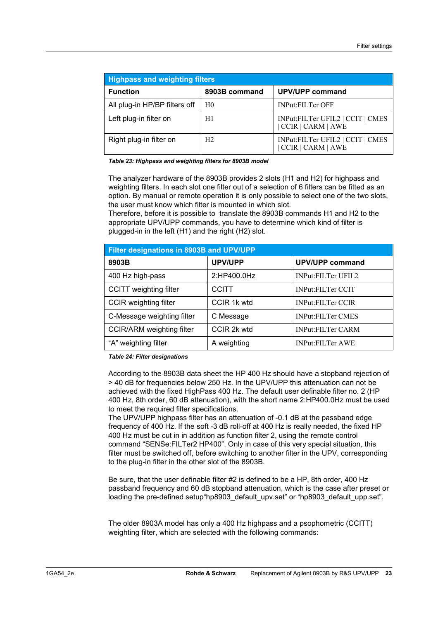| <b>Highpass and weighting filters</b> |                |                                                              |  |
|---------------------------------------|----------------|--------------------------------------------------------------|--|
| <b>Function</b>                       | 8903B command  | <b>UPV/UPP command</b>                                       |  |
| All plug-in HP/BP filters off         | H0             | <b>INPut:FILTer OFF</b>                                      |  |
| Left plug-in filter on                | H1             | INPut:FILTer UFIL2   CCIT   CMES<br>CCIR   CARM   AWE        |  |
| Right plug-in filter on               | H <sub>2</sub> | INPut:FILTer UFIL2   CCIT   CMES<br><b>CCIR   CARM   AWE</b> |  |

*Table 23: Highpass and weighting filters for 8903B model* 

The analyzer hardware of the 8903B provides 2 slots (H1 and H2) for highpass and weighting filters. In each slot one filter out of a selection of 6 filters can be fitted as an option. By manual or remote operation it is only possible to select one of the two slots, the user must know which filter is mounted in which slot.

Therefore, before it is possible to translate the 8903B commands H1 and H2 to the appropriate UPV/UPP commands, you have to determine which kind of filter is plugged-in in the left (H1) and the right (H2) slot.

| Filter designations in 8903B and UPV/UPP |                |                          |  |
|------------------------------------------|----------------|--------------------------|--|
| 8903B                                    | <b>UPV/UPP</b> | <b>UPV/UPP command</b>   |  |
| 400 Hz high-pass                         | 2:HP400.0Hz    | INPut:FILTer UFIL2       |  |
| <b>CCITT</b> weighting filter            | <b>CCITT</b>   | <b>INPut:FILTer CCIT</b> |  |
| <b>CCIR</b> weighting filter             | CCIR 1k wtd    | <b>INPut:FILTer CCIR</b> |  |
| C-Message weighting filter               | C Message      | <b>INPut:FILTer CMES</b> |  |
| <b>CCIR/ARM</b> weighting filter         | CCIR 2k wtd    | <b>INPut:FILTer CARM</b> |  |
| "A" weighting filter                     | A weighting    | <b>INPut:FILTer AWE</b>  |  |

*Table 24: Filter designations* 

According to the 8903B data sheet the HP 400 Hz should have a stopband rejection of > 40 dB for frequencies below 250 Hz. In the UPV/UPP this attenuation can not be achieved with the fixed HighPass 400 Hz. The default user definable filter no. 2 (HP 400 Hz, 8th order, 60 dB attenuation), with the short name 2:HP400.0Hz must be used to meet the required filter specifications.

The UPV/UPP highpass filter has an attenuation of -0.1 dB at the passband edge frequency of 400 Hz. If the soft -3 dB roll-off at 400 Hz is really needed, the fixed HP 400 Hz must be cut in in addition as function filter 2, using the remote control command "SENSe:FILTer2 HP400". Only in case of this very special situation, this filter must be switched off, before switching to another filter in the UPV, corresponding to the plug-in filter in the other slot of the 8903B.

Be sure, that the user definable filter #2 is defined to be a HP, 8th order, 400 Hz passband frequency and 60 dB stopband attenuation, which is the case after preset or loading the pre-defined setup hp8903\_default\_upy.set" or "hp8903\_default\_upp.set".

The older 8903A model has only a 400 Hz highpass and a psophometric (CCITT) weighting filter, which are selected with the following commands: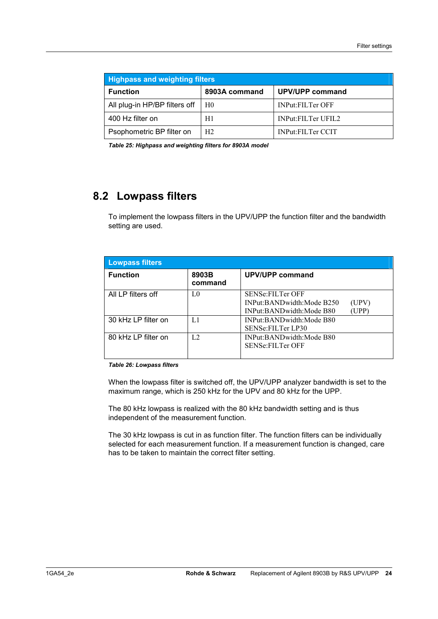| <b>Highpass and weighting filters</b> |                |                           |  |
|---------------------------------------|----------------|---------------------------|--|
| <b>Function</b>                       | 8903A command  | UPV/UPP command           |  |
| All plug-in HP/BP filters off         | H0             | <b>INPut:FILTer OFF</b>   |  |
| 400 Hz filter on                      | H1             | <b>INPut:FILTer UFIL2</b> |  |
| Psophometric BP filter on             | H <sub>2</sub> | <b>INPut:FILTer CCIT</b>  |  |

*Table 25: Highpass and weighting filters for 8903A model* 

### **8.2 Lowpass filters**

To implement the lowpass filters in the UPV/UPP the function filter and the bandwidth setting are used.

| <b>Lowpass filters</b> |                  |                                                                                                    |
|------------------------|------------------|----------------------------------------------------------------------------------------------------|
| <b>Function</b>        | 8903B<br>command | <b>UPV/UPP command</b>                                                                             |
| All LP filters off     | LO               | <b>SENSe:FILTer OFF</b><br>INPut:BANDwidth:Mode B250<br>(UPV)<br>(UPP)<br>INPut:BANDwidth:Mode B80 |
| 30 kHz LP filter on    | L1               | INPut:BANDwidth:Mode B80<br><b>SENSe:FILTer LP30</b>                                               |
| 80 kHz LP filter on    | L <sub>2</sub>   | INPut:BANDwidth:Mode B80<br><b>SENSe:FILTer OFF</b>                                                |

#### *Table 26: Lowpass filters*

When the lowpass filter is switched off, the UPV/UPP analyzer bandwidth is set to the maximum range, which is 250 kHz for the UPV and 80 kHz for the UPP.

The 80 kHz lowpass is realized with the 80 kHz bandwidth setting and is thus independent of the measurement function.

The 30 kHz lowpass is cut in as function filter. The function filters can be individually selected for each measurement function. If a measurement function is changed, care has to be taken to maintain the correct filter setting.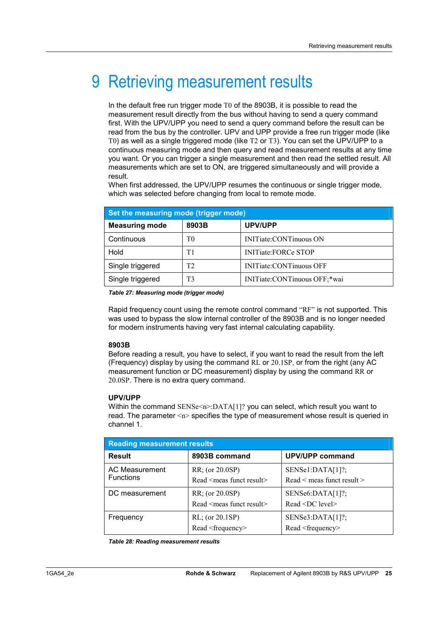## 9 Retrieving measurement results

In the default free run trigger mode T0 of the 8903B, it is possible to read the measurement result directly from the bus without having to send a query command first. With the UPV/UPP you need to send a query command before the result can be read from the bus by the controller. UPV and UPP provide a free run trigger mode (like T0) as well as a single triggered mode (like T2 or T3). You can set the UPV/UPP to a continuous measuring mode and then query and read measurement results at any time you want. Or you can trigger a single measurement and then read the settled result. All measurements which are set to ON, are triggered simultaneously and will provide a result.

When first addressed, the UPV/UPP resumes the continuous or single trigger mode, which was selected before changing from local to remote mode.

| Set the measuring mode (trigger mode) |       |                              |  |
|---------------------------------------|-------|------------------------------|--|
| <b>Measuring mode</b>                 | 8903B | UPV/UPP                      |  |
| Continuous                            | T0    | INITiate:CONTinuous ON       |  |
| Hold                                  | T1    | <b>INITiate:FORCe STOP</b>   |  |
| Single triggered                      | T2    | INITiate:CONTinuous OFF      |  |
| Single triggered                      | T3    | INITiate:CONTinuous OFF;*wai |  |

*Table 27: Measuring mode (trigger mode)* 

Rapid frequency count using the remote control command "RF" is not supported. This was used to bypass the slow internal controller of the 8903B and is no longer needed for modern instruments having very fast internal calculating capability.

#### **8903B**

Before reading a result, you have to select, if you want to read the result from the left (Frequency) display by using the command RL or 20.1SP, or from the right (any AC measurement function or DC measurement) display by using the command RR or 20.0SP. There is no extra query command.

#### **UPV/UPP**

Within the command SENSe<n>:DATA[1]? you can select, which result you want to read. The parameter  $\langle n \rangle$  specifies the type of measurement whose result is queried in channel 1.

| <b>Reading measurement results</b> |                                                          |                                                |  |
|------------------------------------|----------------------------------------------------------|------------------------------------------------|--|
| <b>Result</b>                      | 8903B command                                            | UPV/UPP command                                |  |
| AC Measurement<br><b>Functions</b> | RR; (or 20.0SP)<br>Read <meas funct="" result=""></meas> | SENSe1:DATA[1]<br>Read < meas funct result >   |  |
| DC measurement                     | RR; (or 20.0SP)<br>Read <meas funct="" result=""></meas> | SENSe6:DATA[1]<br>Read <dc level=""></dc>      |  |
| Frequency                          | RL; (or 20.1SP)<br>Read <frequency></frequency>          | SENSe3:DATA[1]<br>Read <frequency></frequency> |  |

*Table 28: Reading measurement results*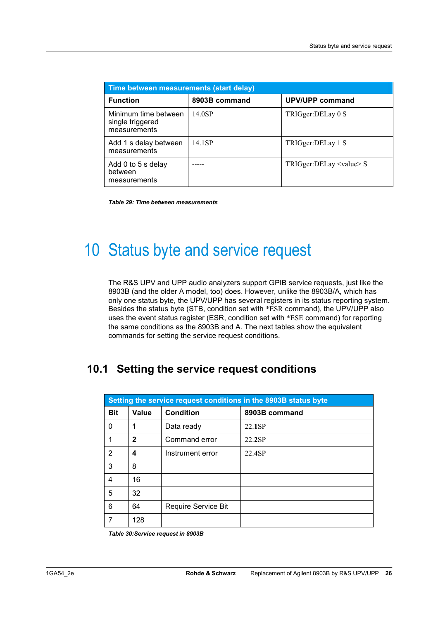| Time between measurements (start delay)                  |               |                                |  |
|----------------------------------------------------------|---------------|--------------------------------|--|
| <b>Function</b>                                          | 8903B command | UPV/UPP command                |  |
| Minimum time between<br>single triggered<br>measurements | 14 0SP        | TRIGger:DELay 0 S              |  |
| Add 1 s delay between<br>measurements                    | 14 1SP        | TRIGger:DELay 1 S              |  |
| Add 0 to 5 s delay<br>between<br>measurements            |               | $TRIGger: DELay \le value > S$ |  |

*Table 29: Time between measurements* 

## 10 Status byte and service request

The R&S UPV and UPP audio analyzers support GPIB service requests, just like the 8903B (and the older A model, too) does. However, unlike the 8903B/A, which has only one status byte, the UPV/UPP has several registers in its status reporting system. Besides the status byte (STB, condition set with \*ESR command), the UPV/UPP also uses the event status register (ESR, condition set with \*ESE command) for reporting the same conditions as the 8903B and A. The next tables show the equivalent commands for setting the service request conditions.

### **10.1 Setting the service request conditions**

| Setting the service request conditions in the 8903B status byte |              |                     |               |
|-----------------------------------------------------------------|--------------|---------------------|---------------|
| <b>Bit</b>                                                      | Value        | <b>Condition</b>    | 8903B command |
| 0                                                               | 1            | Data ready          | 22.1SP        |
| 1                                                               | $\mathbf{2}$ | Command error       | 22.2SP        |
| 2                                                               | 4            | Instrument error    | 22.4SP        |
| 3                                                               | 8            |                     |               |
| 4                                                               | 16           |                     |               |
| 5                                                               | 32           |                     |               |
| 6                                                               | 64           | Require Service Bit |               |
|                                                                 | 128          |                     |               |

*Table 30:Service request in 8903B*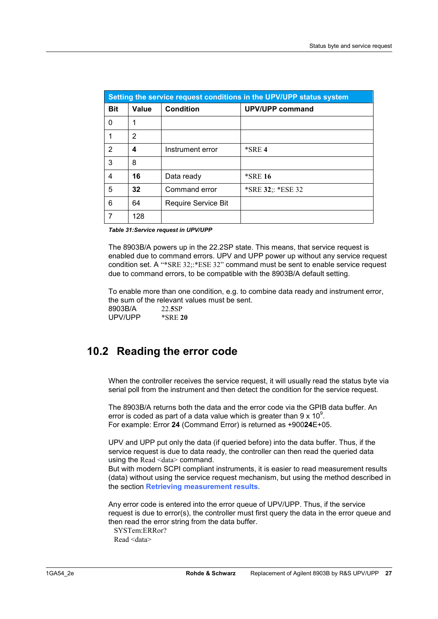| Setting the service request conditions in the UPV/UPP status system |       |                     |                        |
|---------------------------------------------------------------------|-------|---------------------|------------------------|
| <b>Bit</b>                                                          | Value | <b>Condition</b>    | <b>UPV/UPP command</b> |
| 0                                                                   | 1     |                     |                        |
| 1                                                                   | 2     |                     |                        |
| 2                                                                   | 4     | Instrument error    | $*SRE 4$               |
| 3                                                                   | 8     |                     |                        |
| 4                                                                   | 16    | Data ready          | <b>*SRE 16</b>         |
| 5                                                                   | 32    | Command error       | *SRE 32;: *ESE 32      |
| 6                                                                   | 64    | Require Service Bit |                        |
|                                                                     | 128   |                     |                        |

*Table 31:Service request in UPV/UPP* 

The 8903B/A powers up in the 22.2SP state. This means, that service request is enabled due to command errors. UPV and UPP power up without any service request condition set. A "\*SRE 32;:\*ESE 32" command must be sent to enable service request due to command errors, to be compatible with the 8903B/A default setting.

To enable more than one condition, e.g. to combine data ready and instrument error, the sum of the relevant values must be sent. 8903B/A 22.**5**SP

| OYUJDIA | 22.JSP         |
|---------|----------------|
| UPV/UPP | <b>*SRE 20</b> |

### **10.2 Reading the error code**

When the controller receives the service request, it will usually read the status byte via serial poll from the instrument and then detect the condition for the service request.

The 8903B/A returns both the data and the error code via the GPIB data buffer. An error is coded as part of a data value which is greater than 9 x 10 $^9$ . For example: Error **24** (Command Error) is returned as +900**24**E+05.

UPV and UPP put only the data (if queried before) into the data buffer. Thus, if the service request is due to data ready, the controller can then read the queried data using the Read <data> command.

But with modern SCPI compliant instruments, it is easier to read measurement results (data) without using the service request mechanism, but using the method described in the section **Retrieving measurement results**.

Any error code is entered into the error queue of UPV/UPP. Thus, if the service request is due to error(s), the controller must first query the data in the error queue and then read the error string from the data buffer.

 SYSTem:ERRor? Read <data>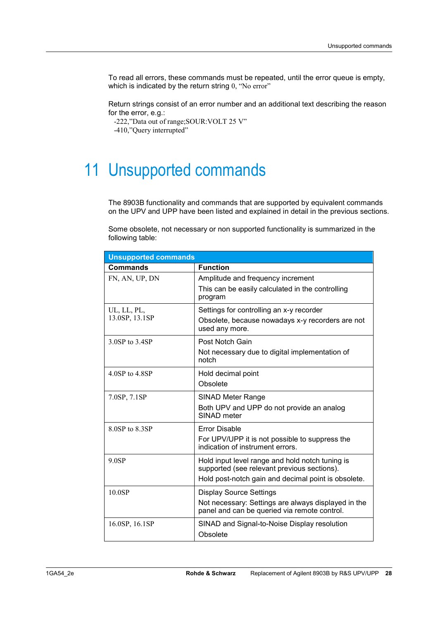To read all errors, these commands must be repeated, until the error queue is empty, which is indicated by the return string 0, "No error"

Return strings consist of an error number and an additional text describing the reason for the error, e.g.:

-222,"Data out of range;SOUR:VOLT 25 V"

-410,"Query interrupted"

## 11 Unsupported commands

The 8903B functionality and commands that are supported by equivalent commands on the UPV and UPP have been listed and explained in detail in the previous sections.

Some obsolete, not necessary or non supported functionality is summarized in the following table:

| <b>Unsupported commands</b>   |                                                                                                                                                       |  |  |
|-------------------------------|-------------------------------------------------------------------------------------------------------------------------------------------------------|--|--|
| Commands                      | <b>Function</b>                                                                                                                                       |  |  |
| FN, AN, UP, DN                | Amplitude and frequency increment<br>This can be easily calculated in the controlling<br>program                                                      |  |  |
| UL, LL, PL,<br>13.0SP, 13.1SP | Settings for controlling an x-y recorder<br>Obsolete, because nowadays x-y recorders are not<br>used any more.                                        |  |  |
| 3.0SP to 3.4SP                | Post Notch Gain<br>Not necessary due to digital implementation of<br>notch                                                                            |  |  |
| 4.0SP to 4.8SP                | Hold decimal point<br>Obsolete                                                                                                                        |  |  |
| 7.0SP, 7.1SP                  | <b>SINAD Meter Range</b><br>Both UPV and UPP do not provide an analog<br>SINAD meter                                                                  |  |  |
| 8.0SP to 8.3SP                | <b>Error Disable</b><br>For UPV/UPP it is not possible to suppress the<br>indication of instrument errors.                                            |  |  |
| 9.0SP                         | Hold input level range and hold notch tuning is<br>supported (see relevant previous sections).<br>Hold post-notch gain and decimal point is obsolete. |  |  |
| 10.0SP                        | <b>Display Source Settings</b><br>Not necessary: Settings are always displayed in the<br>panel and can be queried via remote control.                 |  |  |
| 16.0SP, 16.1SP                | SINAD and Signal-to-Noise Display resolution<br>Obsolete                                                                                              |  |  |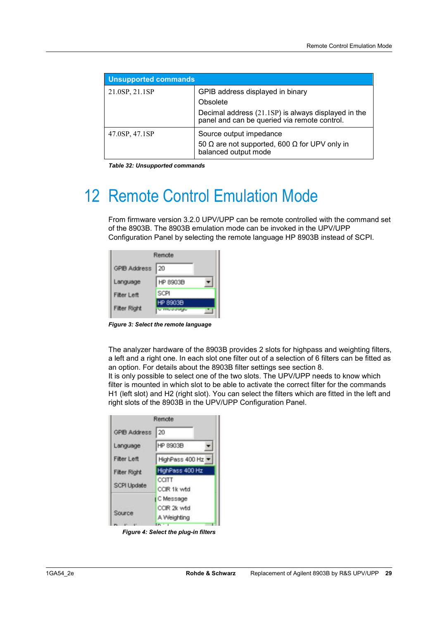| <b>Unsupported commands</b> |                                                                                                                                                     |  |
|-----------------------------|-----------------------------------------------------------------------------------------------------------------------------------------------------|--|
| 21.0SP, 21.1SP              | GPIB address displayed in binary<br>Obsolete<br>Decimal address (21.1SP) is always displayed in the<br>panel and can be queried via remote control. |  |
| 47.0SP, 47.1SP              | Source output impedance<br>50 $\Omega$ are not supported, 600 $\Omega$ for UPV only in<br>balanced output mode                                      |  |

*Table 32: Unsupported commands* 

## 12 Remote Control Emulation Mode

From firmware version 3.2.0 UPV/UPP can be remote controlled with the command set of the 8903B. The 8903B emulation mode can be invoked in the UPV/UPP Configuration Panel by selecting the remote language HP 8903B instead of SCPI.

|                     | Remote                      |
|---------------------|-----------------------------|
| <b>GPIB Address</b> | 20                          |
| Language            | HP 8903B                    |
| <b>Filter Left</b>  | SCPI                        |
| <b>Filter Right</b> | HP 8903B<br><b>U muuuwa</b> |

*Figure 3: Select the remote language* 

The analyzer hardware of the 8903B provides 2 slots for highpass and weighting filters, a left and a right one. In each slot one filter out of a selection of 6 filters can be fitted as an option. For details about the 8903B filter settings see section 8.

It is only possible to select one of the two slots. The UPV/UPP needs to know which filter is mounted in which slot to be able to activate the correct filter for the commands H1 (left slot) and H2 (right slot). You can select the filters which are fitted in the left and right slots of the 8903B in the UPV/UPP Configuration Panel.

|                     | Remote               |
|---------------------|----------------------|
| <b>GPIB Address</b> | 20                   |
| Language            | HP 8903B             |
| <b>Filter Left</b>  | HighPass 400 Hz      |
| <b>Fitter Right</b> | HighPass 400 Hz      |
| <b>SCPI Update</b>  | CCITT<br>CCIR 1k wtd |
| Source              | C Message            |
|                     | CCIR 2k wtd          |
|                     | A Weighting          |
| <b>APR 48</b><br>-  | $-1$                 |

*Figure 4: Select the plug-in filters*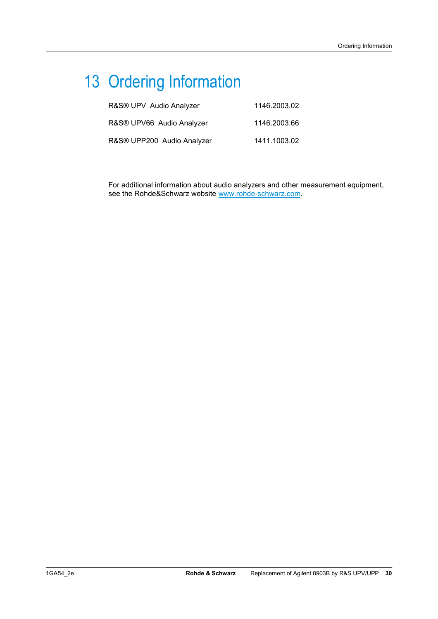## 13 Ordering Information

| R&S® UPV Audio Analyzer    | 1146.2003.02 |
|----------------------------|--------------|
| R&S® UPV66 Audio Analyzer  | 1146.2003.66 |
| R&S® UPP200 Audio Analyzer | 1411.1003.02 |

For additional information about audio analyzers and other measurement equipment, see the Rohde&Schwarz website www.rohde-schwarz.com.